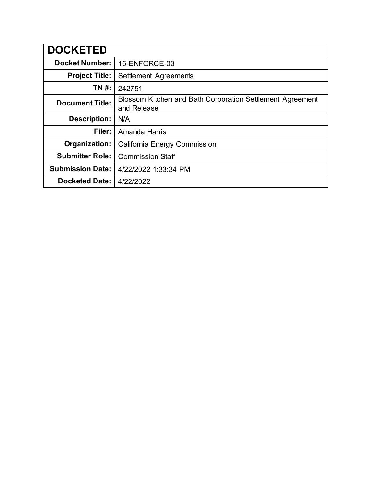| <b>DOCKETED</b>         |                                                                          |
|-------------------------|--------------------------------------------------------------------------|
| <b>Docket Number:</b>   | 16-ENFORCE-03                                                            |
| <b>Project Title:</b>   | Settlement Agreements                                                    |
| TN #:                   | 242751                                                                   |
| <b>Document Title:</b>  | Blossom Kitchen and Bath Corporation Settlement Agreement<br>and Release |
| <b>Description:</b>     | N/A                                                                      |
| Filer:                  | Amanda Harris                                                            |
| Organization:           | California Energy Commission                                             |
| <b>Submitter Role:</b>  | <b>Commission Staff</b>                                                  |
| <b>Submission Date:</b> | 4/22/2022 1:33:34 PM                                                     |
| <b>Docketed Date:</b>   | 4/22/2022                                                                |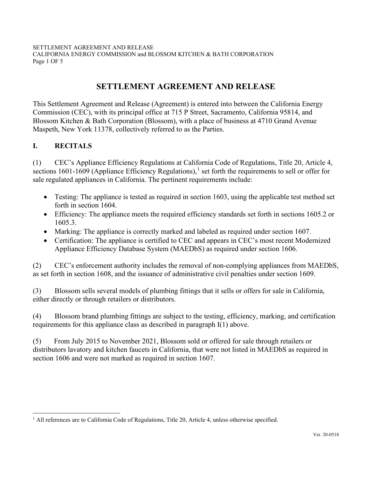SETTLEMENT AGREEMENT AND RELEASE CALIFORNIA ENERGY COMMISSION and BLOSSOM KITCHEN & BATH CORPORATION Page 1 OF 5

# **SETTLEMENT AGREEMENT AND RELEASE**

This Settlement Agreement and Release (Agreement) is entered into between the California Energy Commission (CEC), with its principal office at 715 P Street, Sacramento, California 95814, and Blossom Kitchen & Bath Corporation (Blossom), with a place of business at 4710 Grand Avenue Maspeth, New York 11378, collectively referred to as the Parties.

## **I. RECITALS**

(1) CEC's Appliance Efficiency Regulations at California Code of Regulations, Title 20, Article 4, sections 1601-1609 (Appliance Efficiency Regulations),<sup>1</sup> set forth the requirements to sell or offer for sale regulated appliances in California. The pertinent requirements include:

- Testing: The appliance is tested as required in section 1603, using the applicable test method set forth in section 1604.
- Efficiency: The appliance meets the required efficiency standards set forth in sections 1605.2 or 1605.3.
- Marking: The appliance is correctly marked and labeled as required under section 1607.
- Certification: The appliance is certified to CEC and appears in CEC's most recent Modernized Appliance Efficiency Database System (MAEDbS) as required under section 1606.

(2) CEC's enforcement authority includes the removal of non-complying appliances from MAEDbS, as set forth in section 1608, and the issuance of administrative civil penalties under section 1609.

(3) Blossom sells several models of plumbing fittings that it sells or offers for sale in California, either directly or through retailers or distributors.

(4) Blossom brand plumbing fittings are subject to the testing, efficiency, marking, and certification requirements for this appliance class as described in paragraph I(1) above.

(5) From July 2015 to November 2021, Blossom sold or offered for sale through retailers or distributors lavatory and kitchen faucets in California, that were not listed in MAEDbS as required in section 1606 and were not marked as required in section 1607.

 $<sup>1</sup>$  All references are to California Code of Regulations, Title 20, Article 4, unless otherwise specified.</sup>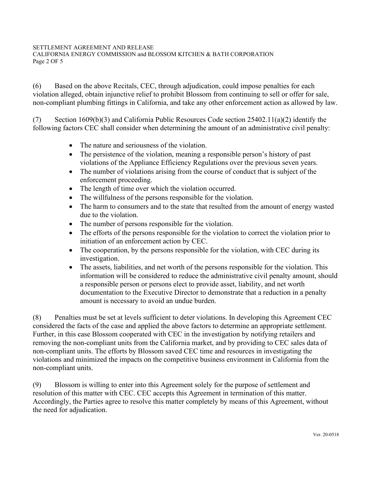### SETTLEMENT AGREEMENT AND RELEASE

CALIFORNIA ENERGY COMMISSION and BLOSSOM KITCHEN & BATH CORPORATION Page 2 OF 5

(6) Based on the above Recitals, CEC, through adjudication, could impose penalties for each violation alleged, obtain injunctive relief to prohibit Blossom from continuing to sell or offer for sale, non-compliant plumbing fittings in California, and take any other enforcement action as allowed by law.

(7) Section 1609(b)(3) and California Public Resources Code section  $25402.11(a)(2)$  identify the following factors CEC shall consider when determining the amount of an administrative civil penalty:

- The nature and seriousness of the violation.
- The persistence of the violation, meaning a responsible person's history of past violations of the Appliance Efficiency Regulations over the previous seven years.
- The number of violations arising from the course of conduct that is subject of the enforcement proceeding.
- The length of time over which the violation occurred.
- The willfulness of the persons responsible for the violation.
- The harm to consumers and to the state that resulted from the amount of energy wasted due to the violation.
- The number of persons responsible for the violation.
- The efforts of the persons responsible for the violation to correct the violation prior to initiation of an enforcement action by CEC.
- The cooperation, by the persons responsible for the violation, with CEC during its investigation.
- The assets, liabilities, and net worth of the persons responsible for the violation. This information will be considered to reduce the administrative civil penalty amount, should a responsible person or persons elect to provide asset, liability, and net worth documentation to the Executive Director to demonstrate that a reduction in a penalty amount is necessary to avoid an undue burden.

(8) Penalties must be set at levels sufficient to deter violations. In developing this Agreement CEC considered the facts of the case and applied the above factors to determine an appropriate settlement. Further, in this case Blossom cooperated with CEC in the investigation by notifying retailers and removing the non-compliant units from the California market, and by providing to CEC sales data of non-compliant units. The efforts by Blossom saved CEC time and resources in investigating the violations and minimized the impacts on the competitive business environment in California from the non-compliant units.

(9) Blossom is willing to enter into this Agreement solely for the purpose of settlement and resolution of this matter with CEC. CEC accepts this Agreement in termination of this matter. Accordingly, the Parties agree to resolve this matter completely by means of this Agreement, without the need for adjudication.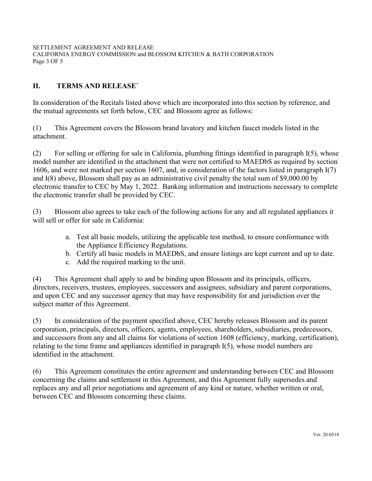SETTLEMENT AGREEMENT AND RELEASE CALIFORNIA ENERGY COMMISSION and BLOSSOM KITCHEN & BATH CORPORATION Page 3 OF 5

## **II. TERMS AND RELEASE`**

In consideration of the Recitals listed above which are incorporated into this section by reference, and the mutual agreements set forth below, CEC and Blossom agree as follows:

(1) This Agreement covers the Blossom brand lavatory and kitchen faucet models listed in the attachment.

(2) For selling or offering for sale in California, plumbing fittings identified in paragraph I(5), whose model number are identified in the attachment that were not certified to MAEDbS as required by section 1606, and were not marked per section 1607, and, in consideration of the factors listed in paragraph I(7) and I(8) above, Blossom shall pay as an administrative civil penalty the total sum of \$9,000.00 by electronic transfer to CEC by May 1, 2022. Banking information and instructions necessary to complete the electronic transfer shall be provided by CEC.

(3) Blossom also agrees to take each of the following actions for any and all regulated appliances it will sell or offer for sale in California:

- a. Test all basic models, utilizing the applicable test method, to ensure conformance with the Appliance Efficiency Regulations.
- b. Certify all basic models in MAEDbS, and ensure listings are kept current and up to date.
- c. Add the required marking to the unit.

(4) This Agreement shall apply to and be binding upon Blossom and its principals, officers, directors, receivers, trustees, employees, successors and assignees, subsidiary and parent corporations, and upon CEC and any successor agency that may have responsibility for and jurisdiction over the subject matter of this Agreement.

(5) In consideration of the payment specified above, CEC hereby releases Blossom and its parent corporation, principals, directors, officers, agents, employees, shareholders, subsidiaries, predecessors, and successors from any and all claims for violations of section 1608 (efficiency, marking, certification), relating to the time frame and appliances identified in paragraph I(5), whose model numbers are identified in the attachment.

(6) This Agreement constitutes the entire agreement and understanding between CEC and Blossom concerning the claims and settlement in this Agreement, and this Agreement fully supersedes and replaces any and all prior negotiations and agreement of any kind or nature, whether written or oral, between CEC and Blossom concerning these claims.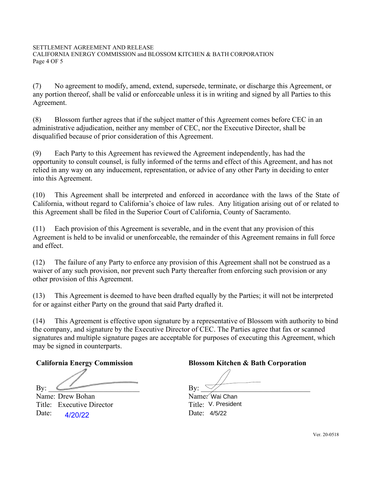(7) No agreement to modify, amend, extend, supersede, terminate, or discharge this Agreement, or any portion thereof, shall be valid or enforceable unless it is in writing and signed by all Parties to this Agreement.

(8) Blossom further agrees that if the subject matter of this Agreement comes before CEC in an administrative adjudication, neither any member of CEC, nor the Executive Director, shall be disqualified because of prior consideration of this Agreement.

(9) Each Party to this Agreement has reviewed the Agreement independently, has had the opportunity to consult counsel, is fully informed of the terms and effect of this Agreement, and has not relied in any way on any inducement, representation, or advice of any other Party in deciding to enter into this Agreement.

(10) This Agreement shall be interpreted and enforced in accordance with the laws of the State of California, without regard to California's choice of law rules. Any litigation arising out of or related to this Agreement shall be filed in the Superior Court of California, County of Sacramento.

(11) Each provision of this Agreement is severable, and in the event that any provision of this Agreement is held to be invalid or unenforceable, the remainder of this Agreement remains in full force and effect.

(12) The failure of any Party to enforce any provision of this Agreement shall not be construed as a waiver of any such provision, nor prevent such Party thereafter from enforcing such provision or any other provision of this Agreement.

(13) This Agreement is deemed to have been drafted equally by the Parties; it will not be interpreted for or against either Party on the ground that said Party drafted it.

(14) This Agreement is effective upon signature by a representative of Blossom with authority to bind the company, and signature by the Executive Director of CEC. The Parties agree that fax or scanned signatures and multiple signature pages are acceptable for purposes of executing this Agreement, which may be signed in counterparts.

By: \_\_\_\_\_\_\_\_\_\_\_\_\_\_\_\_\_\_\_\_\_\_\_\_\_ By: \_\_\_\_\_\_\_\_\_\_\_\_\_\_\_\_\_\_\_\_\_\_\_\_\_\_\_\_\_\_

Name: Drew Bohan Name: Wai Chan Title: Executive Director Date: 4/20/22 Date:

## **California Energy Commission Blossom Kitchen & Bath Corporation**

V. President ́Wai Chan<br>√. Presideı<br>4/5/22